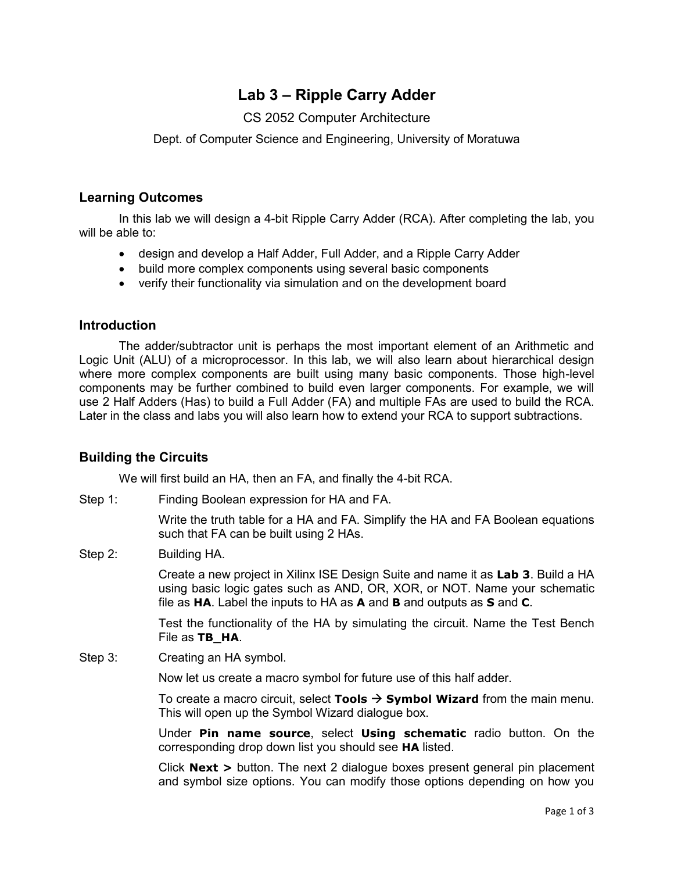# **Lab 3 – Ripple Carry Adder**

# CS 2052 Computer Architecture

Dept. of Computer Science and Engineering, University of Moratuwa

## **Learning Outcomes**

In this lab we will design a 4-bit Ripple Carry Adder (RCA). After completing the lab, you will be able to:

- design and develop a Half Adder, Full Adder, and a Ripple Carry Adder
- build more complex components using several basic components
- verify their functionality via simulation and on the development board

#### **Introduction**

The adder/subtractor unit is perhaps the most important element of an Arithmetic and Logic Unit (ALU) of a microprocessor. In this lab, we will also learn about hierarchical design where more complex components are built using many basic components. Those high-level components may be further combined to build even larger components. For example, we will use 2 Half Adders (Has) to build a Full Adder (FA) and multiple FAs are used to build the RCA. Later in the class and labs you will also learn how to extend your RCA to support subtractions.

## **Building the Circuits**

We will first build an HA, then an FA, and finally the 4-bit RCA.

Step 1: Finding Boolean expression for HA and FA.

Write the truth table for a HA and FA. Simplify the HA and FA Boolean equations such that FA can be built using 2 HAs.

Step 2: Building HA.

Create a new project in Xilinx ISE Design Suite and name it as **Lab 3**. Build a HA using basic logic gates such as AND, OR, XOR, or NOT. Name your schematic file as **HA**. Label the inputs to HA as **A** and **B** and outputs as **S** and **C**.

Test the functionality of the HA by simulating the circuit. Name the Test Bench File as **TB\_HA**.

Step 3: Creating an HA symbol.

Now let us create a macro symbol for future use of this half adder.

To create a macro circuit, select **Tools** → **Symbol Wizard** from the main menu. This will open up the Symbol Wizard dialogue box.

Under **Pin name source**, select **Using schematic** radio button. On the corresponding drop down list you should see **HA** listed.

Click **Next >** button. The next 2 dialogue boxes present general pin placement and symbol size options. You can modify those options depending on how you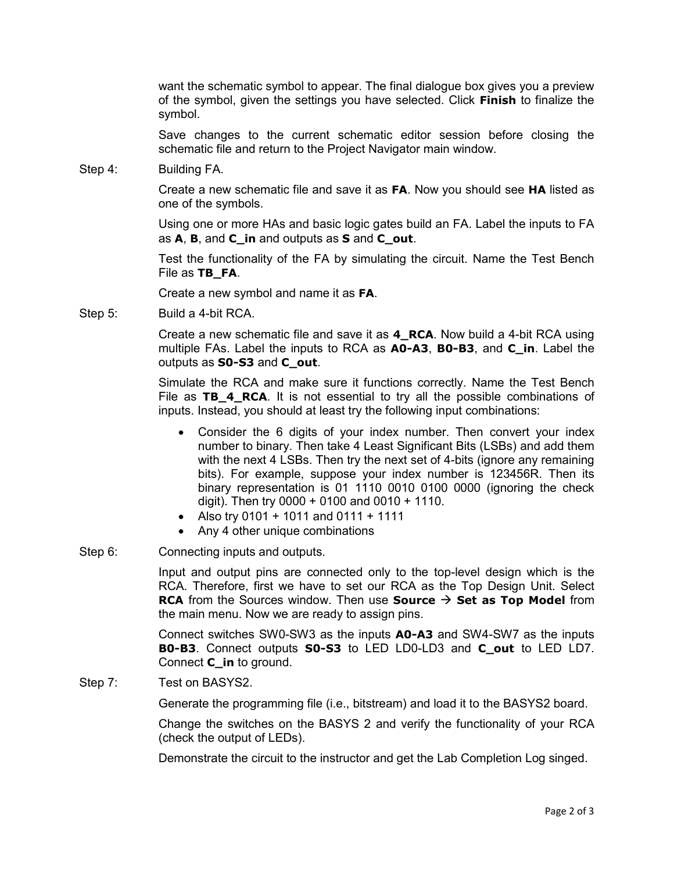want the schematic symbol to appear. The final dialogue box gives you a preview of the symbol, given the settings you have selected. Click **Finish** to finalize the symbol.

Save changes to the current schematic editor session before closing the schematic file and return to the Project Navigator main window.

Step 4: Building FA.

Create a new schematic file and save it as **FA**. Now you should see **HA** listed as one of the symbols.

Using one or more HAs and basic logic gates build an FA. Label the inputs to FA as **A**, **B**, and **C\_in** and outputs as **S** and **C\_out**.

Test the functionality of the FA by simulating the circuit. Name the Test Bench File as **TB\_FA**.

Create a new symbol and name it as **FA**.

Step 5: Build a 4-bit RCA.

Create a new schematic file and save it as **4\_RCA**. Now build a 4-bit RCA using multiple FAs. Label the inputs to RCA as **A0-A3**, **B0-B3**, and **C\_in**. Label the outputs as **S0-S3** and **C\_out**.

Simulate the RCA and make sure it functions correctly. Name the Test Bench File as **TB\_4\_RCA**. It is not essential to try all the possible combinations of inputs. Instead, you should at least try the following input combinations:

- Consider the 6 digits of your index number. Then convert your index number to binary. Then take 4 Least Significant Bits (LSBs) and add them with the next 4 LSBs. Then try the next set of 4-bits (ignore any remaining bits). For example, suppose your index number is 123456R. Then its binary representation is 01 1110 0010 0100 0000 (ignoring the check digit). Then try  $0000 + 0100$  and  $0010 + 1110$ .
- Also try  $0101 + 1011$  and  $0111 + 1111$
- Any 4 other unique combinations
- Step 6: Connecting inputs and outputs.

Input and output pins are connected only to the top-level design which is the RCA. Therefore, first we have to set our RCA as the Top Design Unit. Select **RCA** from the Sources window. Then use **Source**  $\rightarrow$  **Set as Top Model** from the main menu. Now we are ready to assign pins.

Connect switches SW0-SW3 as the inputs **A0-A3** and SW4-SW7 as the inputs **B0-B3**. Connect outputs **S0-S3** to LED LD0-LD3 and **C\_out** to LED LD7. Connect **C\_in** to ground.

Step 7: Test on BASYS2.

Generate the programming file (i.e., bitstream) and load it to the BASYS2 board.

Change the switches on the BASYS 2 and verify the functionality of your RCA (check the output of LEDs).

Demonstrate the circuit to the instructor and get the Lab Completion Log singed.